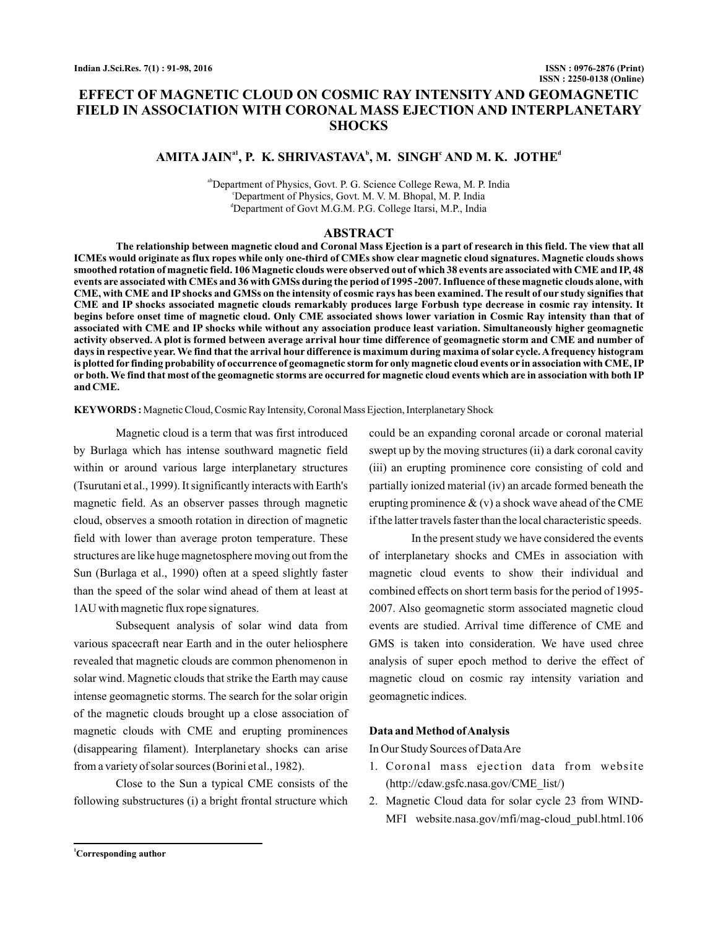## **EFFECT OF MAGNETIC CLOUD ON COSMIC RAY INTENSITY AND GEOMAGNETIC FIELD IN ASSOCIATION WITH CORONAL MASS EJECTION AND INTERPLANETARY SHOCKS**

# AMITA JAIN<sup>a1</sup>, P. K. SHRIVASTAVA<sup>b</sup>, M. SINGH<sup>c</sup> AND M. K. JOTHE<sup>d</sup>

abDepartment of Physics, Govt. P. G. Science College Rewa, M. P. India <sup>c</sup>Department of Physics, Govt. M. V. M. Bhopal, M. P. India <sup>d</sup>Department of Govt M.G.M. P.G. College Itarsi, M.P., India

#### **ABSTRACT**

**The relationship between magnetic cloud and Coronal Mass Ejection is a part of research in this field. The view that all ICMEs would originate as flux ropes while only one-third of CMEs show clear magnetic cloud signatures. Magnetic clouds shows smoothed rotation of magnetic field. 106 Magnetic clouds were observed out of which 38 events are associated with CME and IP, 48 events are associated with CMEs and 36 with GMSs during the period of 1995 -2007. Influence of these magnetic clouds alone, with CME, with CME and IP shocks and GMSs on the intensity of cosmic rays has been examined. The result of our study signifies that CME and IP shocks associated magnetic clouds remarkably produces large Forbush type decrease in cosmic ray intensity. It begins before onset time of magnetic cloud. Only CME associated shows lower variation in Cosmic Ray intensity than that of associated with CME and IP shocks while without any association produce least variation. Simultaneously higher geomagnetic activity observed. A plot is formed between average arrival hour time difference of geomagnetic storm and CME and number of days in respective year. We find that the arrival hour difference is maximum during maxima of solar cycle. A frequency histogram is plotted for finding probability of occurrence of geomagnetic storm for only magnetic cloud events or in association with CME, IP or both. We find that most of the geomagnetic storms are occurred for magnetic cloud events which are in association with both IP and CME.**

**KEYWORDS :** Magnetic Cloud, Cosmic Ray Intensity, Coronal Mass Ejection, Interplanetary Shock

Magnetic cloud is a term that was first introduced by Burlaga which has intense southward magnetic field within or around various large interplanetary structures (Tsurutani et al., 1999). It significantly interacts with Earth's magnetic field. As an observer passes through magnetic cloud, observes a smooth rotation in direction of magnetic field with lower than average proton temperature. These structures are like huge magnetosphere moving out from the Sun (Burlaga et al., 1990) often at a speed slightly faster than the speed of the solar wind ahead of them at least at 1AU with magnetic flux rope signatures.

Subsequent analysis of solar wind data from various spacecraft near Earth and in the outer heliosphere revealed that magnetic clouds are common phenomenon in solar wind. Magnetic clouds that strike the Earth may cause intense geomagnetic storms. The search for the solar origin of the magnetic clouds brought up a close association of magnetic clouds with CME and erupting prominences (disappearing filament). Interplanetary shocks can arise from a variety of solar sources (Borini et al., 1982).

Close to the Sun a typical CME consists of the following substructures (i) a bright frontal structure which could be an expanding coronal arcade or coronal material swept up by the moving structures (ii) a dark coronal cavity (iii) an erupting prominence core consisting of cold and partially ionized material (iv) an arcade formed beneath the erupting prominence  $\&$  (v) a shock wave ahead of the CME if the latter travels faster than the local characteristic speeds.

In the present study we have considered the events of interplanetary shocks and CMEs in association with magnetic cloud events to show their individual and combined effects on short term basis for the period of 1995- 2007. Also geomagnetic storm associated magnetic cloud events are studied. Arrival time difference of CME and GMS is taken into consideration. We have used chree analysis of super epoch method to derive the effect of magnetic cloud on cosmic ray intensity variation and geomagnetic indices.

#### **Data and Method ofAnalysis**

In Our Study Sources of DataAre

- 1. Coronal mass ejection data from website (http://cdaw.gsfc.nasa.gov/CME\_list/)
- 2. Magnetic Cloud data for solar cycle 23 from WIND-MFI website.nasa.gov/mfi/mag-cloud\_publ.html.106

**<sup>1</sup>Corresponding author**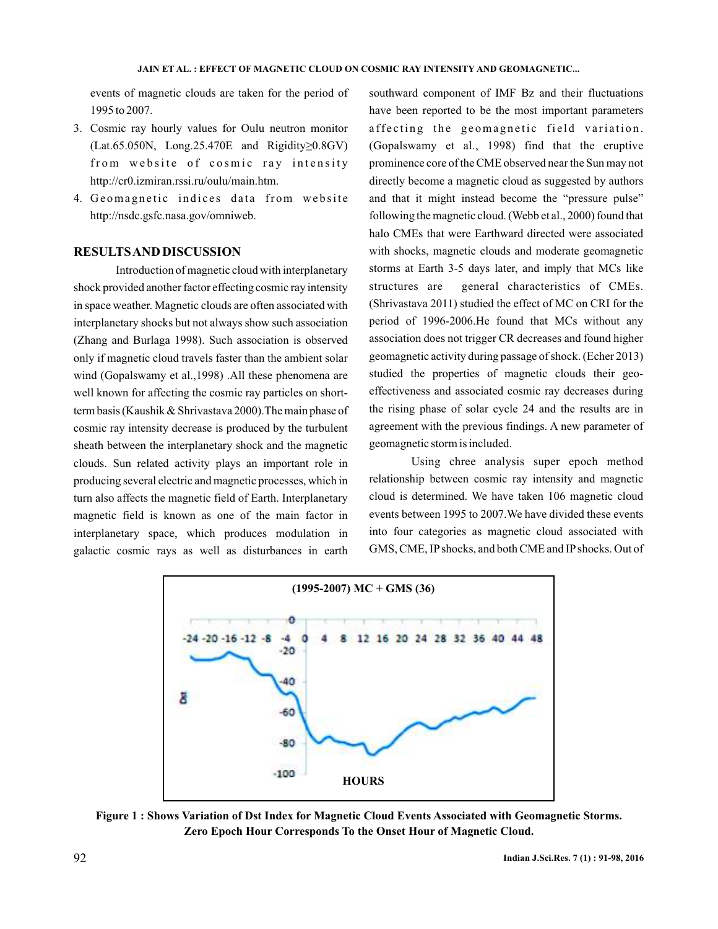events of magnetic clouds are taken for the period of 1995 to 2007.

- 3. Cosmic ray hourly values for Oulu neutron monitor (Lat.65.050N, Long.25.470E and Rigidity≥0.8GV) from website of cosmic ray intensity http://cr0.izmiran.rssi.ru/oulu/main.htm.
- 4. Geomagnetic indices data from website http://nsdc.gsfc.nasa.gov/omniweb.

### **RESULTSAND DISCUSSION**

Introduction of magnetic cloud with interplanetary shock provided another factor effecting cosmic ray intensity in space weather. Magnetic clouds are often associated with interplanetary shocks but not always show such association (Zhang and Burlaga 1998). Such association is observed only if magnetic cloud travels faster than the ambient solar wind (Gopalswamy et al.,1998) .All these phenomena are well known for affecting the cosmic ray particles on shortterm basis (Kaushik & Shrivastava 2000).The main phase of cosmic ray intensity decrease is produced by the turbulent sheath between the interplanetary shock and the magnetic clouds. Sun related activity plays an important role in producing several electric and magnetic processes, which in turn also affects the magnetic field of Earth. Interplanetary magnetic field is known as one of the main factor in interplanetary space, which produces modulation in galactic cosmic rays as well as disturbances in earth southward component of IMF Bz and their fluctuations have been reported to be the most important parameters affecting the geomagnetic field variation. (Gopalswamy et al., 1998) find that the eruptive prominence core of the CME observed near the Sun may not directly become a magnetic cloud as suggested by authors and that it might instead become the "pressure pulse" following the magnetic cloud. (Webb et al., 2000) found that halo CMEs that were Earthward directed were associated with shocks, magnetic clouds and moderate geomagnetic storms at Earth 3-5 days later, and imply that MCs like structures are general characteristics of CMEs. (Shrivastava 2011) studied the effect of MC on CRI for the period of 1996-2006.He found that MCs without any association does not trigger CR decreases and found higher geomagnetic activity during passage of shock. (Echer 2013) studied the properties of magnetic clouds their geoeffectiveness and associated cosmic ray decreases during the rising phase of solar cycle 24 and the results are in agreement with the previous findings. A new parameter of geomagnetic storm is included.

Using chree analysis super epoch method relationship between cosmic ray intensity and magnetic cloud is determined. We have taken 106 magnetic cloud events between 1995 to 2007.We have divided these events into four categories as magnetic cloud associated with GMS, CME, IP shocks, and both CME and IP shocks. Out of



**Figure 1 : Shows Variation of Dst Index for Magnetic Cloud Events Associated with Geomagnetic Storms. Zero Epoch Hour Corresponds To the Onset Hour of Magnetic Cloud.**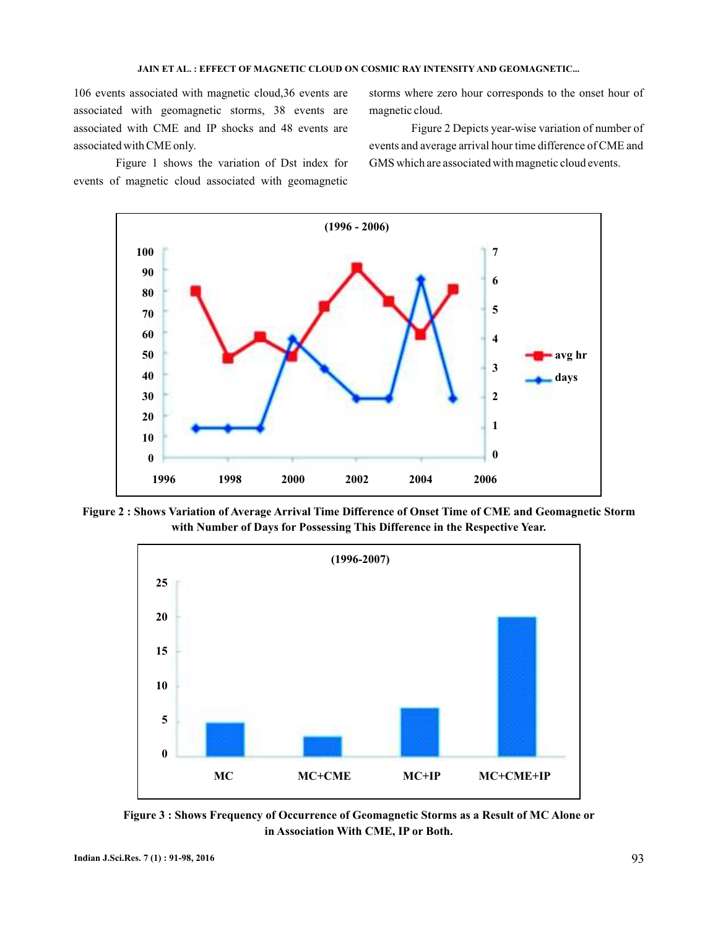106 events associated with magnetic cloud,36 events are associated with geomagnetic storms, 38 events are associated with CME and IP shocks and 48 events are associated with CME only.

Figure 1 shows the variation of Dst index for events of magnetic cloud associated with geomagnetic

storms where zero hour corresponds to the onset hour of magnetic cloud.

Figure 2 Depicts year-wise variation of number of events and average arrival hour time difference of CME and GMS which are associated with magnetic cloud events.



**Figure 2 : Shows Variation of Average Arrival Time Difference of Onset Time of CME and Geomagnetic Storm with Number of Days for Possessing This Difference in the Respective Year.**



**Figure 3 : Shows Frequency of Occurrence of Geomagnetic Storms as a Result of MC Alone or in Association With CME, IP or Both.**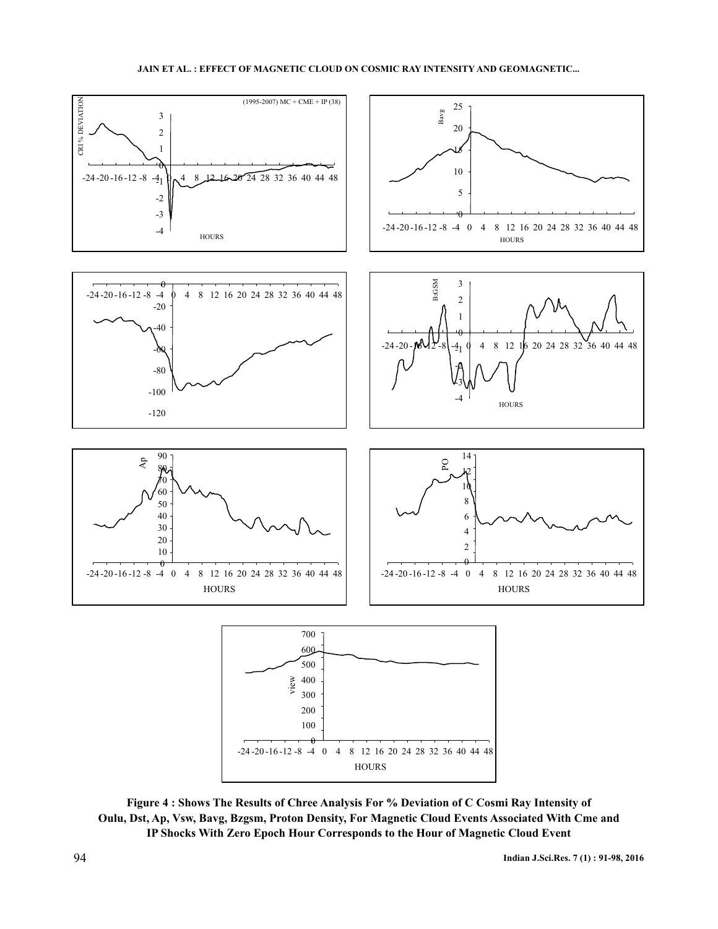

**Figure 4 : Shows The Results of Chree Analysis For % Deviation of C Cosmi Ray Intensity of Oulu, Dst, Ap, Vsw, Bavg, Bzgsm, Proton Density, For Magnetic Cloud Events Associated With Cme and IP Shocks With Zero Epoch Hour Corresponds to the Hour of Magnetic Cloud Event**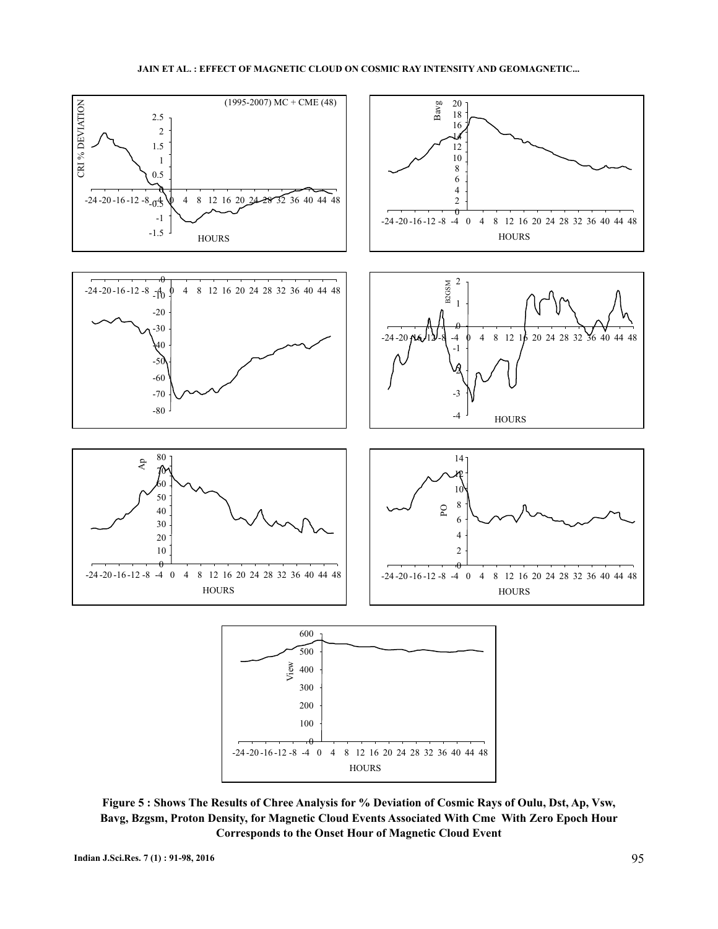

**Figure 5 : Shows The Results of Chree Analysis for % Deviation of Cosmic Rays of Oulu, Dst, Ap, Vsw, Bavg, Bzgsm, Proton Density, for Magnetic Cloud Events Associated With Cme With Zero Epoch Hour Corresponds to the Onset Hour of Magnetic Cloud Event**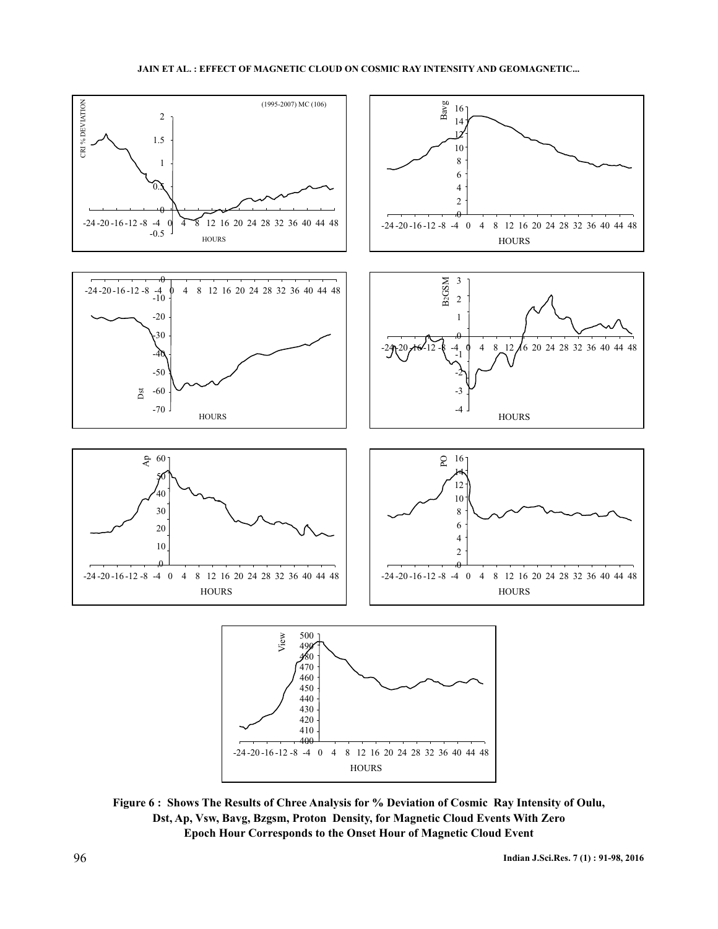

**Figure 6 : Shows The Results of Chree Analysis for % Deviation of Cosmic Ray Intensity of Oulu, Dst, Ap, Vsw, Bavg, Bzgsm, Proton Density, for Magnetic Cloud Events With Zero Epoch Hour Corresponds to the Onset Hour of Magnetic Cloud Event**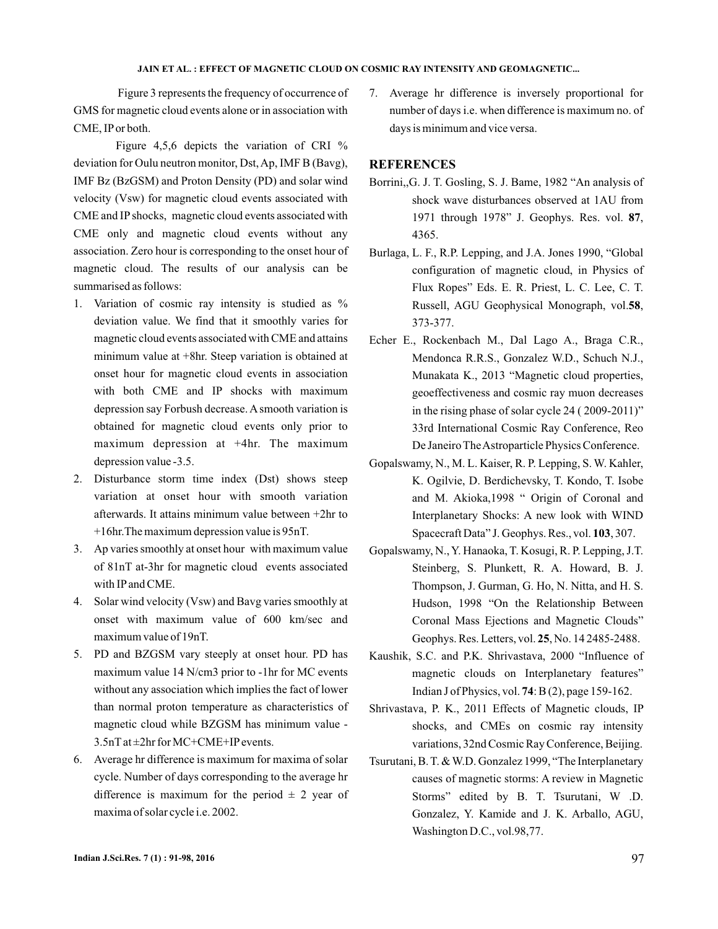Figure 3 represents the frequency of occurrence of GMS for magnetic cloud events alone or in association with CME, IP or both.

Figure 4,5,6 depicts the variation of CRI % deviation for Oulu neutron monitor, Dst,Ap, IMF B (Bavg), IMF Bz (BzGSM) and Proton Density (PD) and solar wind velocity (Vsw) for magnetic cloud events associated with CME and IP shocks, magnetic cloud events associated with CME only and magnetic cloud events without any association. Zero hour is corresponding to the onset hour of magnetic cloud. The results of our analysis can be summarised as follows:

- 1. Variation of cosmic ray intensity is studied as % deviation value. We find that it smoothly varies for magnetic cloud events associated with CME and attains minimum value at +8hr. Steep variation is obtained at onset hour for magnetic cloud events in association with both CME and IP shocks with maximum depression say Forbush decrease. A smooth variation is obtained for magnetic cloud events only prior to maximum depression at +4hr. The maximum depression value -3.5.
- 2. Disturbance storm time index (Dst) shows steep variation at onset hour with smooth variation afterwards. It attains minimum value between +2hr to +16hr.The maximum depression value is 95nT.
- 3. Ap varies smoothly at onset hour with maximum value of 81nT at-3hr for magnetic cloud events associated with IP and CME.
- 4. Solar wind velocity (Vsw) and Bavg varies smoothly at onset with maximum value of 600 km/sec and maximum value of 19nT.
- 5. PD and BZGSM vary steeply at onset hour. PD has maximum value 14 N/cm3 prior to -1hr for MC events without any association which implies the fact of lower than normal proton temperature as characteristics of magnetic cloud while BZGSM has minimum value - 3.5nT at ±2hr for MC+CME+IP events.
- 6. Average hr difference is maximum for maxima of solar cycle. Number of days corresponding to the average hr difference is maximum for the period  $\pm$  2 year of maxima of solar cycle i.e. 2002.

7. Average hr difference is inversely proportional for number of days i.e. when difference is maximum no. of days is minimum and vice versa.

### **REFERENCES**

- Borrini,,G. J. T. Gosling, S. J. Bame, 1982 "An analysis of shock wave disturbances observed at 1AU from 1971 through 1978" J. Geophys. Res. vol. 87, 4365.
- Burlaga, L. F., R.P. Lepping, and J.A. Jones 1990, "Global configuration of magnetic cloud, in Physics of Flux Ropes" Eds. E. R. Priest, L. C. Lee, C. T. Russell, AGU Geophysical Monograph, vol.58, 373-377.
- Echer E., Rockenbach M., Dal Lago A., Braga C.R., Mendonca R.R.S., Gonzalez W.D., Schuch N.J., Munakata K., 2013 "Magnetic cloud properties, geoeffectiveness and cosmic ray muon decreases in the rising phase of solar cycle 24 ( 2009-2011)" 33rd International Cosmic Ray Conference, Reo De Janeiro TheAstroparticle Physics Conference.
- Gopalswamy, N., M. L. Kaiser, R. P. Lepping, S. W. Kahler, K. Ogilvie, D. Berdichevsky, T. Kondo, T. Isobe and M. Akioka,1998 " Origin of Coronal and Interplanetary Shocks: A new look with WIND Spacecraft Data" J. Geophys. Res., vol. 103, 307.
- Gopalswamy, N., Y. Hanaoka, T. Kosugi, R. P. Lepping, J.T. Steinberg, S. Plunkett, R. A. Howard, B. J. Thompson, J. Gurman, G. Ho, N. Nitta, and H. S. Hudson, 1998 "On the Relationship Between Coronal Mass Ejections and Magnetic Clouds" Geophys. Res. Letters, vol. 25, No. 14 2485-2488.
- Kaushik, S.C. and P.K. Shrivastava, 2000 "Influence of magnetic clouds on Interplanetary features" Indian J of Physics, vol. 74: B (2), page 159-162.
- Shrivastava, P. K., 2011 Effects of Magnetic clouds, IP shocks, and CMEs on cosmic ray intensity variations, 32nd Cosmic Ray Conference, Beijing.
- Tsurutani, B. T. & W.D. Gonzalez 1999, "The Interplanetary causes of magnetic storms: A review in Magnetic Storms" edited by B. T. Tsurutani, W .D. Gonzalez, Y. Kamide and J. K. Arballo, AGU, Washington D.C., vol.98,77.